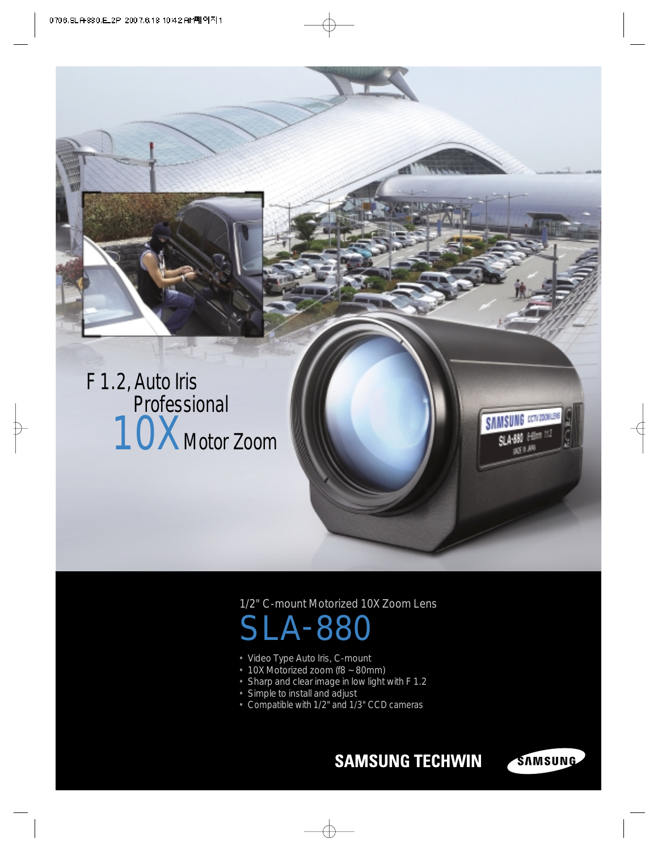

## 1/2" C-mount Motorized 10X Zoom Lens

## A-88

- Video Type Auto Iris, C-mount
- 10X Motorized zoom (f8 ~ 80mm)
- Sharp and clear image in low light with F 1.2
- Simple to install and adjust
- Compatible with 1/2" and 1/3" CCD cameras

## **SAMSUNG TECHWIN**

**SAMSUNG CENTRON** 

SAMSUNG